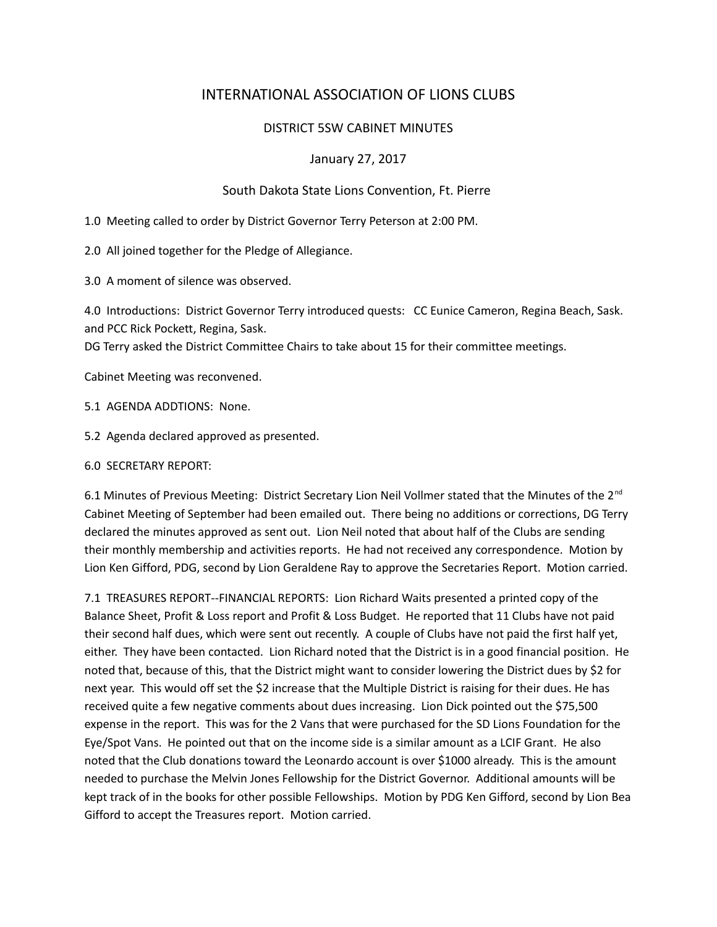# INTERNATIONAL ASSOCIATION OF LIONS CLUBS

### DISTRICT 5SW CABINET MINUTES

### January 27, 2017

### South Dakota State Lions Convention, Ft. Pierre

1.0 Meeting called to order by District Governor Terry Peterson at 2:00 PM.

2.0 All joined together for the Pledge of Allegiance.

3.0 A moment of silence was observed.

4.0 Introductions: District Governor Terry introduced quests: CC Eunice Cameron, Regina Beach, Sask. and PCC Rick Pockett, Regina, Sask.

DG Terry asked the District Committee Chairs to take about 15 for their committee meetings.

Cabinet Meeting was reconvened.

5.1 AGENDA ADDTIONS: None.

5.2 Agenda declared approved as presented.

6.0 SECRETARY REPORT:

6.1 Minutes of Previous Meeting: District Secretary Lion Neil Vollmer stated that the Minutes of the 2<sup>nd</sup> Cabinet Meeting of September had been emailed out. There being no additions or corrections, DG Terry declared the minutes approved as sent out. Lion Neil noted that about half of the Clubs are sending their monthly membership and activities reports. He had not received any correspondence. Motion by Lion Ken Gifford, PDG, second by Lion Geraldene Ray to approve the Secretaries Report. Motion carried.

7.1 TREASURES REPORT--FINANCIAL REPORTS: Lion Richard Waits presented a printed copy of the Balance Sheet, Profit & Loss report and Profit & Loss Budget. He reported that 11 Clubs have not paid their second half dues, which were sent out recently. A couple of Clubs have not paid the first half yet, either. They have been contacted. Lion Richard noted that the District is in a good financial position. He noted that, because of this, that the District might want to consider lowering the District dues by \$2 for next year. This would off set the \$2 increase that the Multiple District is raising for their dues. He has received quite a few negative comments about dues increasing. Lion Dick pointed out the \$75,500 expense in the report. This was for the 2 Vans that were purchased for the SD Lions Foundation for the Eye/Spot Vans. He pointed out that on the income side is a similar amount as a LCIF Grant. He also noted that the Club donations toward the Leonardo account is over \$1000 already. This is the amount needed to purchase the Melvin Jones Fellowship for the District Governor. Additional amounts will be kept track of in the books for other possible Fellowships. Motion by PDG Ken Gifford, second by Lion Bea Gifford to accept the Treasures report. Motion carried.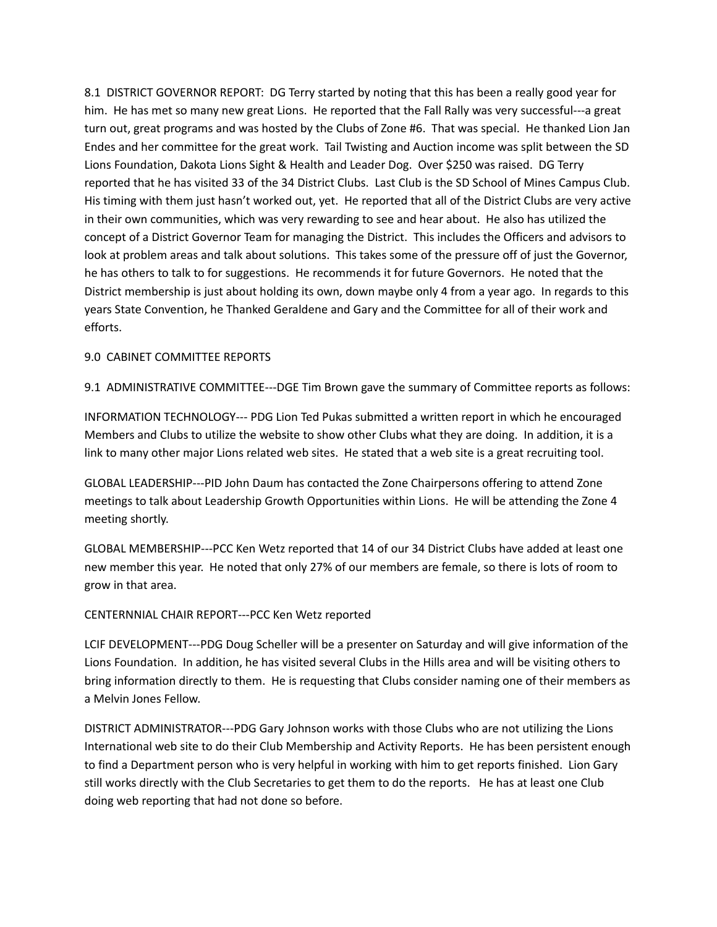8.1 DISTRICT GOVERNOR REPORT: DG Terry started by noting that this has been a really good year for him. He has met so many new great Lions. He reported that the Fall Rally was very successful---a great turn out, great programs and was hosted by the Clubs of Zone #6. That was special. He thanked Lion Jan Endes and her committee for the great work. Tail Twisting and Auction income was split between the SD Lions Foundation, Dakota Lions Sight & Health and Leader Dog. Over \$250 was raised. DG Terry reported that he has visited 33 of the 34 District Clubs. Last Club is the SD School of Mines Campus Club. His timing with them just hasn't worked out, yet. He reported that all of the District Clubs are very active in their own communities, which was very rewarding to see and hear about. He also has utilized the concept of a District Governor Team for managing the District. This includes the Officers and advisors to look at problem areas and talk about solutions. This takes some of the pressure off of just the Governor, he has others to talk to for suggestions. He recommends it for future Governors. He noted that the District membership is just about holding its own, down maybe only 4 from a year ago. In regards to this years State Convention, he Thanked Geraldene and Gary and the Committee for all of their work and efforts.

### 9.0 CABINET COMMITTEE REPORTS

9.1 ADMINISTRATIVE COMMITTEE---DGE Tim Brown gave the summary of Committee reports as follows:

INFORMATION TECHNOLOGY--- PDG Lion Ted Pukas submitted a written report in which he encouraged Members and Clubs to utilize the website to show other Clubs what they are doing. In addition, it is a link to many other major Lions related web sites. He stated that a web site is a great recruiting tool.

GLOBAL LEADERSHIP---PID John Daum has contacted the Zone Chairpersons offering to attend Zone meetings to talk about Leadership Growth Opportunities within Lions. He will be attending the Zone 4 meeting shortly.

GLOBAL MEMBERSHIP---PCC Ken Wetz reported that 14 of our 34 District Clubs have added at least one new member this year. He noted that only 27% of our members are female, so there is lots of room to grow in that area.

### CENTERNNIAL CHAIR REPORT---PCC Ken Wetz reported

LCIF DEVELOPMENT---PDG Doug Scheller will be a presenter on Saturday and will give information of the Lions Foundation. In addition, he has visited several Clubs in the Hills area and will be visiting others to bring information directly to them. He is requesting that Clubs consider naming one of their members as a Melvin Jones Fellow.

DISTRICT ADMINISTRATOR---PDG Gary Johnson works with those Clubs who are not utilizing the Lions International web site to do their Club Membership and Activity Reports. He has been persistent enough to find a Department person who is very helpful in working with him to get reports finished. Lion Gary still works directly with the Club Secretaries to get them to do the reports. He has at least one Club doing web reporting that had not done so before.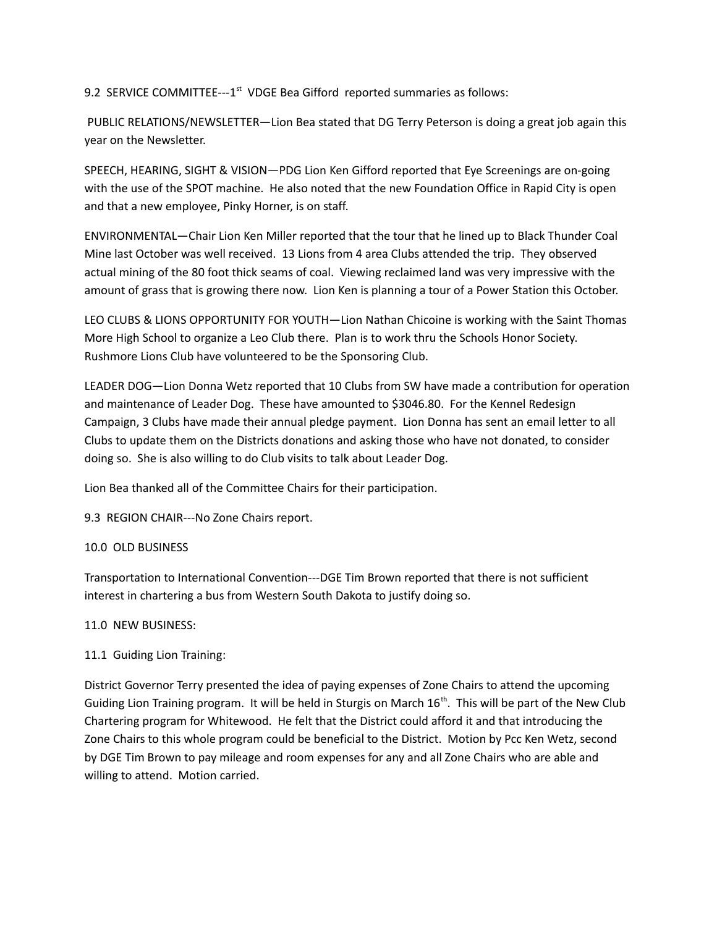9.2 SERVICE COMMITTEE---1<sup>st</sup> VDGE Bea Gifford reported summaries as follows:

 PUBLIC RELATIONS/NEWSLETTER—Lion Bea stated that DG Terry Peterson is doing a great job again this year on the Newsletter.

SPEECH, HEARING, SIGHT & VISION—PDG Lion Ken Gifford reported that Eye Screenings are on-going with the use of the SPOT machine. He also noted that the new Foundation Office in Rapid City is open and that a new employee, Pinky Horner, is on staff.

ENVIRONMENTAL—Chair Lion Ken Miller reported that the tour that he lined up to Black Thunder Coal Mine last October was well received. 13 Lions from 4 area Clubs attended the trip. They observed actual mining of the 80 foot thick seams of coal. Viewing reclaimed land was very impressive with the amount of grass that is growing there now. Lion Ken is planning a tour of a Power Station this October.

LEO CLUBS & LIONS OPPORTUNITY FOR YOUTH—Lion Nathan Chicoine is working with the Saint Thomas More High School to organize a Leo Club there. Plan is to work thru the Schools Honor Society. Rushmore Lions Club have volunteered to be the Sponsoring Club.

LEADER DOG—Lion Donna Wetz reported that 10 Clubs from SW have made a contribution for operation and maintenance of Leader Dog. These have amounted to \$3046.80. For the Kennel Redesign Campaign, 3 Clubs have made their annual pledge payment. Lion Donna has sent an email letter to all Clubs to update them on the Districts donations and asking those who have not donated, to consider doing so. She is also willing to do Club visits to talk about Leader Dog.

Lion Bea thanked all of the Committee Chairs for their participation.

9.3 REGION CHAIR---No Zone Chairs report.

### 10.0 OLD BUSINESS

Transportation to International Convention---DGE Tim Brown reported that there is not sufficient interest in chartering a bus from Western South Dakota to justify doing so.

### 11.0 NEW BUSINESS:

## 11.1 Guiding Lion Training:

District Governor Terry presented the idea of paying expenses of Zone Chairs to attend the upcoming Guiding Lion Training program. It will be held in Sturgis on March 16<sup>th</sup>. This will be part of the New Club Chartering program for Whitewood. He felt that the District could afford it and that introducing the Zone Chairs to this whole program could be beneficial to the District. Motion by Pcc Ken Wetz, second by DGE Tim Brown to pay mileage and room expenses for any and all Zone Chairs who are able and willing to attend. Motion carried.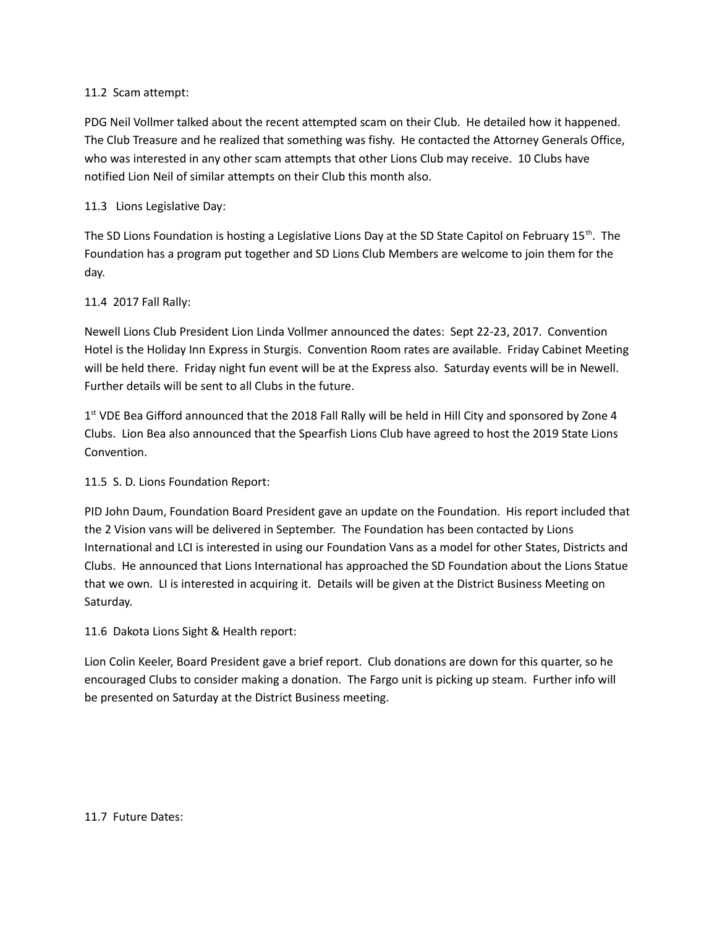### 11.2 Scam attempt:

PDG Neil Vollmer talked about the recent attempted scam on their Club. He detailed how it happened. The Club Treasure and he realized that something was fishy. He contacted the Attorney Generals Office, who was interested in any other scam attempts that other Lions Club may receive. 10 Clubs have notified Lion Neil of similar attempts on their Club this month also.

### 11.3 Lions Legislative Day:

The SD Lions Foundation is hosting a Legislative Lions Day at the SD State Capitol on February 15<sup>th</sup>. The Foundation has a program put together and SD Lions Club Members are welcome to join them for the day.

## 11.4 2017 Fall Rally:

Newell Lions Club President Lion Linda Vollmer announced the dates: Sept 22-23, 2017. Convention Hotel is the Holiday Inn Express in Sturgis. Convention Room rates are available. Friday Cabinet Meeting will be held there. Friday night fun event will be at the Express also. Saturday events will be in Newell. Further details will be sent to all Clubs in the future.

1<sup>st</sup> VDE Bea Gifford announced that the 2018 Fall Rally will be held in Hill City and sponsored by Zone 4 Clubs. Lion Bea also announced that the Spearfish Lions Club have agreed to host the 2019 State Lions Convention.

### 11.5 S. D. Lions Foundation Report:

PID John Daum, Foundation Board President gave an update on the Foundation. His report included that the 2 Vision vans will be delivered in September. The Foundation has been contacted by Lions International and LCI is interested in using our Foundation Vans as a model for other States, Districts and Clubs. He announced that Lions International has approached the SD Foundation about the Lions Statue that we own. LI is interested in acquiring it. Details will be given at the District Business Meeting on Saturday.

## 11.6 Dakota Lions Sight & Health report:

Lion Colin Keeler, Board President gave a brief report. Club donations are down for this quarter, so he encouraged Clubs to consider making a donation. The Fargo unit is picking up steam. Further info will be presented on Saturday at the District Business meeting.

#### 11.7 Future Dates: